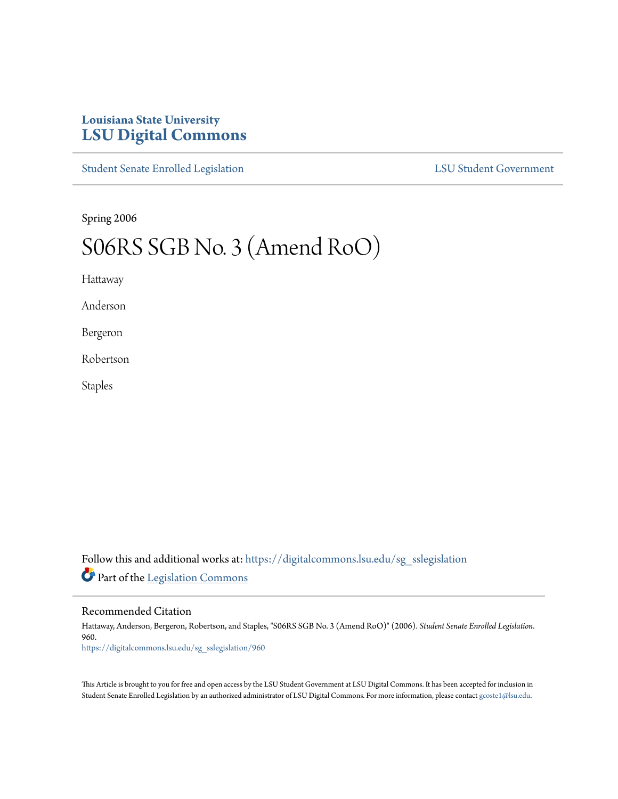## **Louisiana State University [LSU Digital Commons](https://digitalcommons.lsu.edu?utm_source=digitalcommons.lsu.edu%2Fsg_sslegislation%2F960&utm_medium=PDF&utm_campaign=PDFCoverPages)**

[Student Senate Enrolled Legislation](https://digitalcommons.lsu.edu/sg_sslegislation?utm_source=digitalcommons.lsu.edu%2Fsg_sslegislation%2F960&utm_medium=PDF&utm_campaign=PDFCoverPages) [LSU Student Government](https://digitalcommons.lsu.edu/sg?utm_source=digitalcommons.lsu.edu%2Fsg_sslegislation%2F960&utm_medium=PDF&utm_campaign=PDFCoverPages)

Spring 2006

## S06RS SGB No. 3 (Amend RoO)

Hattaway

Anderson

Bergeron

Robertson

Staples

Follow this and additional works at: [https://digitalcommons.lsu.edu/sg\\_sslegislation](https://digitalcommons.lsu.edu/sg_sslegislation?utm_source=digitalcommons.lsu.edu%2Fsg_sslegislation%2F960&utm_medium=PDF&utm_campaign=PDFCoverPages) Part of the [Legislation Commons](http://network.bepress.com/hgg/discipline/859?utm_source=digitalcommons.lsu.edu%2Fsg_sslegislation%2F960&utm_medium=PDF&utm_campaign=PDFCoverPages)

Recommended Citation

Hattaway, Anderson, Bergeron, Robertson, and Staples, "S06RS SGB No. 3 (Amend RoO)" (2006). *Student Senate Enrolled Legislation*. 960. [https://digitalcommons.lsu.edu/sg\\_sslegislation/960](https://digitalcommons.lsu.edu/sg_sslegislation/960?utm_source=digitalcommons.lsu.edu%2Fsg_sslegislation%2F960&utm_medium=PDF&utm_campaign=PDFCoverPages)

This Article is brought to you for free and open access by the LSU Student Government at LSU Digital Commons. It has been accepted for inclusion in Student Senate Enrolled Legislation by an authorized administrator of LSU Digital Commons. For more information, please contact [gcoste1@lsu.edu.](mailto:gcoste1@lsu.edu)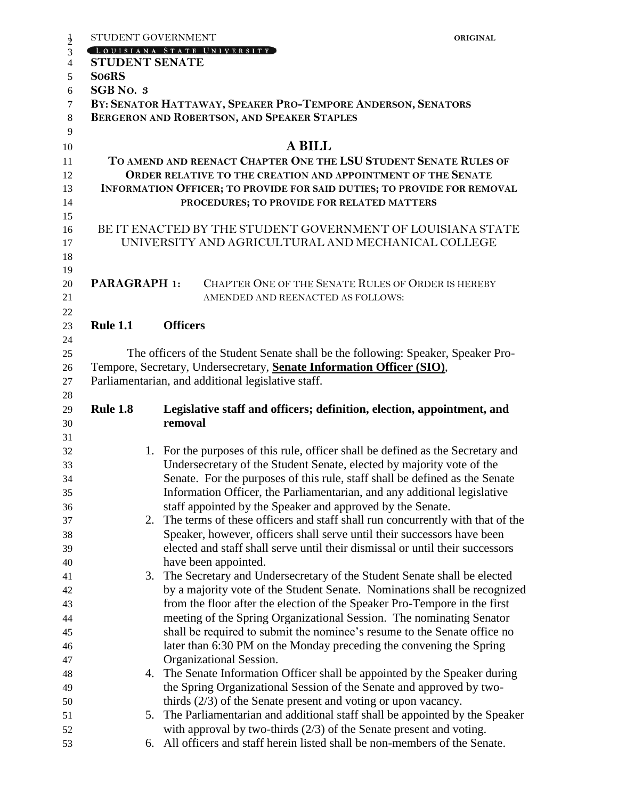| $\frac{1}{2}$  | STUDENT GOVERNMENT                                                      |                                                              |                                                                                                                                                        | <b>ORIGINAL</b> |  |  |  |
|----------------|-------------------------------------------------------------------------|--------------------------------------------------------------|--------------------------------------------------------------------------------------------------------------------------------------------------------|-----------------|--|--|--|
| 3              |                                                                         |                                                              | OUISIANA STATE UNIVERSITY                                                                                                                              |                 |  |  |  |
| $\overline{4}$ | <b>STUDENT SENATE</b>                                                   |                                                              |                                                                                                                                                        |                 |  |  |  |
| 5              | So <sub>6</sub> RS                                                      |                                                              |                                                                                                                                                        |                 |  |  |  |
| 6              | SGB No. 3                                                               |                                                              |                                                                                                                                                        |                 |  |  |  |
| $\tau$         |                                                                         | BY: SENATOR HATTAWAY, SPEAKER PRO-TEMPORE ANDERSON, SENATORS |                                                                                                                                                        |                 |  |  |  |
| $\,8\,$        |                                                                         |                                                              | BERGERON AND ROBERTSON, AND SPEAKER STAPLES                                                                                                            |                 |  |  |  |
| 9              |                                                                         |                                                              |                                                                                                                                                        |                 |  |  |  |
| 10             |                                                                         |                                                              | <b>A BILL</b>                                                                                                                                          |                 |  |  |  |
| 11             | TO AMEND AND REENACT CHAPTER ONE THE LSU STUDENT SENATE RULES OF        |                                                              |                                                                                                                                                        |                 |  |  |  |
| 12             | ORDER RELATIVE TO THE CREATION AND APPOINTMENT OF THE SENATE            |                                                              |                                                                                                                                                        |                 |  |  |  |
| 13             | INFORMATION OFFICER; TO PROVIDE FOR SAID DUTIES; TO PROVIDE FOR REMOVAL |                                                              |                                                                                                                                                        |                 |  |  |  |
| 14             |                                                                         |                                                              | PROCEDURES; TO PROVIDE FOR RELATED MATTERS                                                                                                             |                 |  |  |  |
| 15             |                                                                         |                                                              |                                                                                                                                                        |                 |  |  |  |
| 16             |                                                                         |                                                              | BE IT ENACTED BY THE STUDENT GOVERNMENT OF LOUISIANA STATE<br>UNIVERSITY AND AGRICULTURAL AND MECHANICAL COLLEGE                                       |                 |  |  |  |
| 17<br>18       |                                                                         |                                                              |                                                                                                                                                        |                 |  |  |  |
| 19             |                                                                         |                                                              |                                                                                                                                                        |                 |  |  |  |
| 20             | <b>PARAGRAPH 1:</b>                                                     |                                                              | CHAPTER ONE OF THE SENATE RULES OF ORDER IS HEREBY                                                                                                     |                 |  |  |  |
| 21             |                                                                         |                                                              | AMENDED AND REENACTED AS FOLLOWS:                                                                                                                      |                 |  |  |  |
| 22             |                                                                         |                                                              |                                                                                                                                                        |                 |  |  |  |
| 23             | <b>Rule 1.1</b>                                                         | <b>Officers</b>                                              |                                                                                                                                                        |                 |  |  |  |
| 24             |                                                                         |                                                              |                                                                                                                                                        |                 |  |  |  |
| 25             |                                                                         |                                                              | The officers of the Student Senate shall be the following: Speaker, Speaker Pro-                                                                       |                 |  |  |  |
| 26             |                                                                         |                                                              | Tempore, Secretary, Undersecretary, Senate Information Officer (SIO),                                                                                  |                 |  |  |  |
| 27             |                                                                         |                                                              | Parliamentarian, and additional legislative staff.                                                                                                     |                 |  |  |  |
| 28             |                                                                         |                                                              |                                                                                                                                                        |                 |  |  |  |
| 29             | <b>Rule 1.8</b>                                                         |                                                              | Legislative staff and officers; definition, election, appointment, and                                                                                 |                 |  |  |  |
| 30             |                                                                         | removal                                                      |                                                                                                                                                        |                 |  |  |  |
| 31             |                                                                         |                                                              |                                                                                                                                                        |                 |  |  |  |
| 32             |                                                                         |                                                              | 1. For the purposes of this rule, officer shall be defined as the Secretary and                                                                        |                 |  |  |  |
| 33             |                                                                         |                                                              | Undersecretary of the Student Senate, elected by majority vote of the                                                                                  |                 |  |  |  |
| 34             |                                                                         |                                                              | Senate. For the purposes of this rule, staff shall be defined as the Senate                                                                            |                 |  |  |  |
| 35             |                                                                         |                                                              | Information Officer, the Parliamentarian, and any additional legislative                                                                               |                 |  |  |  |
| 36             |                                                                         |                                                              | staff appointed by the Speaker and approved by the Senate.                                                                                             |                 |  |  |  |
| 37             | 2.                                                                      |                                                              | The terms of these officers and staff shall run concurrently with that of the                                                                          |                 |  |  |  |
| 38             |                                                                         |                                                              | Speaker, however, officers shall serve until their successors have been                                                                                |                 |  |  |  |
| 39             |                                                                         |                                                              | elected and staff shall serve until their dismissal or until their successors                                                                          |                 |  |  |  |
| 40             |                                                                         |                                                              | have been appointed.                                                                                                                                   |                 |  |  |  |
| 41             | 3.                                                                      |                                                              | The Secretary and Undersecretary of the Student Senate shall be elected                                                                                |                 |  |  |  |
| 42<br>43       |                                                                         |                                                              | by a majority vote of the Student Senate. Nominations shall be recognized<br>from the floor after the election of the Speaker Pro-Tempore in the first |                 |  |  |  |
| 44             |                                                                         |                                                              | meeting of the Spring Organizational Session. The nominating Senator                                                                                   |                 |  |  |  |
| 45             |                                                                         |                                                              | shall be required to submit the nominee's resume to the Senate office no                                                                               |                 |  |  |  |
| 46             |                                                                         |                                                              | later than 6:30 PM on the Monday preceding the convening the Spring                                                                                    |                 |  |  |  |
| 47             |                                                                         |                                                              | Organizational Session.                                                                                                                                |                 |  |  |  |
| 48             | 4.                                                                      |                                                              | The Senate Information Officer shall be appointed by the Speaker during                                                                                |                 |  |  |  |
| 49             |                                                                         |                                                              | the Spring Organizational Session of the Senate and approved by two-                                                                                   |                 |  |  |  |
| 50             |                                                                         |                                                              | thirds $(2/3)$ of the Senate present and voting or upon vacancy.                                                                                       |                 |  |  |  |
| 51             | 5.                                                                      |                                                              | The Parliamentarian and additional staff shall be appointed by the Speaker                                                                             |                 |  |  |  |
| 52             |                                                                         |                                                              | with approval by two-thirds $(2/3)$ of the Senate present and voting.                                                                                  |                 |  |  |  |
| 53             | 6.                                                                      |                                                              | All officers and staff herein listed shall be non-members of the Senate.                                                                               |                 |  |  |  |
|                |                                                                         |                                                              |                                                                                                                                                        |                 |  |  |  |